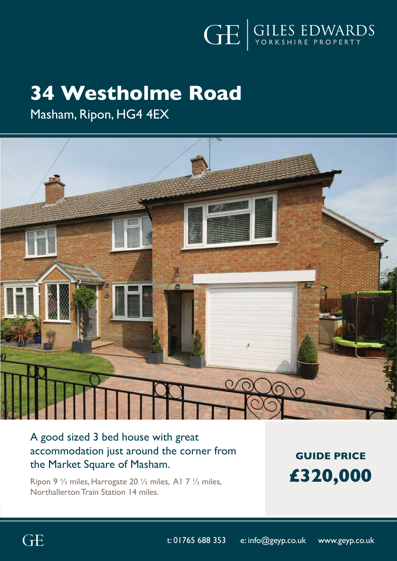

# **34 Westholme Road**

Masham, Ripon, HG4 4EX



# A good sized 3 bed house with great accommodation just around the corner from the Market Square of Masham.

Ripon 9 ½ miles, Harrogate 20 ½ miles, A1 7 ½ miles, Northallerton Train Station 14 miles.

**GUIDE PRICE £320,000**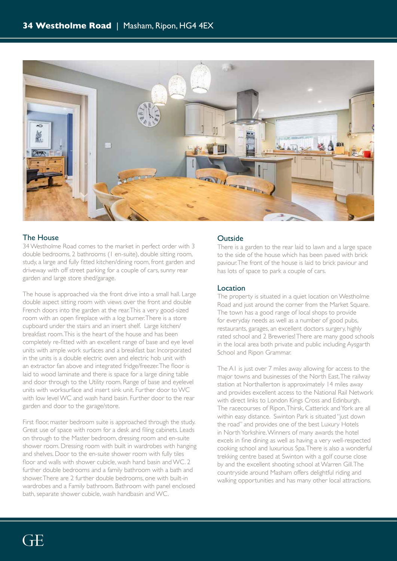

### The House

34 Westholme Road comes to the market in perfect order with 3 double bedrooms, 2 bathrooms (1 en-suite), double sitting room, study, a large and fully fitted kitchen/dining room, front garden and driveway with off street parking for a couple of cars, sunny rear garden and large store shed/garage.

The house is approached via the front drive into a small hall. Large double aspect sitting room with views over the front and double French doors into the garden at the rear. This a very good-sized room with an open fireplace with a log burner. There is a store cupboard under the stairs and an insert shelf. Large kitchen/ breakfast room. This is the heart of the house and has been completely re-fitted with an excellent range of base and eye level units with ample work surfaces and a breakfast bar. Incorporated in the units is a double electric oven and electric hob unit with an extractor fan above and integrated fridge/freezer. The floor is laid to wood laminate and there is space for a large dining table and door through to the Utility room. Range of base and eyelevel units with worksurface and insert sink unit. Further door to WC with low level WC and wash hand basin. Further door to the rear garden and door to the garage/store.

First floor, master bedroom suite is approached through the study. Great use of space with room for a desk and filing cabinets. Leads on through to the Master bedroom, dressing room and en-suite shower room. Dressing room with built in wardrobes with hanging and shelves. Door to the en-suite shower room with fully tiles floor and walls with shower cubicle, wash hand basin and WC. 2 further double bedrooms and a family bathroom with a bath and shower. There are 2 further double bedrooms, one with built-in wardrobes and a Family bathroom. Bathroom with panel enclosed bath, separate shower cubicle, wash handbasin and WC.

## **Outside**

There is a garden to the rear laid to lawn and a large space to the side of the house which has been paved with brick paviour. The front of the house is laid to brick paviour and has lots of space to park a couple of cars.

#### Location

The property is situated in a quiet location on Westholme Road and just around the corner from the Market Square. The town has a good range of local shops to provide for everyday needs as well as a number of good pubs, restaurants, garages, an excellent doctors surgery, highly rated school and 2 Breweries! There are many good schools in the local area both private and public including Aysgarth School and Ripon Grammar.

The A1 is just over 7 miles away allowing for access to the major towns and businesses of the North East. The railway station at Northallerton is approximately 14 miles away and provides excellent access to the National Rail Network with direct links to London Kings Cross and Edinburgh. The racecourses of Ripon, Thirsk, Catterick and York are all within easy distance. Swinton Park is situated "just down the road" and provides one of the best Luxury Hotels in North Yorkshire. Winners of many awards the hotel excels in fine dining as well as having a very well-respected cooking school and luxurious Spa. There is also a wonderful trekking centre based at Swinton with a golf course close by and the excellent shooting school at Warren Gill. The countryside around Masham offers delightful riding and walking opportunities and has many other local attractions.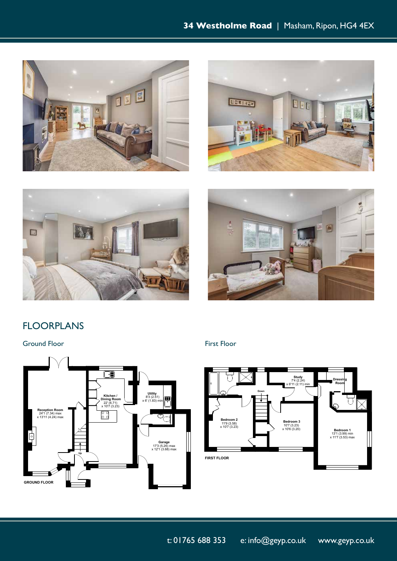







## FLOORPLANS

**FROMA Ground Floor FIRST FIRST FIRST FIRST FIRST FIRST FIRST FIRST FIRST FIRST FIRST FIRST FIRST FIRST FIRST** 





22' (6.71)  $\sim$  10' $\sim$